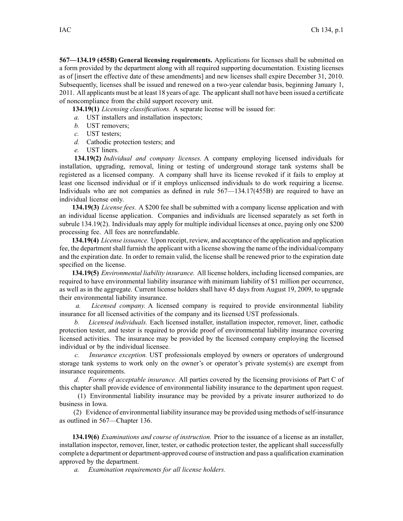**567—134.19 (455B) General licensing requirements.** Applications for licenses shall be submitted on <sup>a</sup> form provided by the department along with all required supporting documentation. Existing licenses as of [insert the effective date of these amendments] and new licenses shall expire December 31, 2010. Subsequently, licenses shall be issued and renewed on <sup>a</sup> two-year calendar basis, beginning January 1, 2011. All applicants must be at least 18 years of age. The applicantshall not have been issued <sup>a</sup> certificate of noncompliance from the child suppor<sup>t</sup> recovery unit.

**134.19(1)** *Licensing classifications.* A separate license will be issued for:

*a.* UST installers and installation inspectors;

- *b.* UST removers;
- *c.* UST testers;
- *d.* Cathodic protection testers; and
- *e.* UST liners.

**134.19(2)** *Individual and company licenses.* A company employing licensed individuals for installation, upgrading, removal, lining or testing of underground storage tank systems shall be registered as <sup>a</sup> licensed company. A company shall have its license revoked if it fails to employ at least one licensed individual or if it employs unlicensed individuals to do work requiring <sup>a</sup> license. Individuals who are not companies as defined in rule 567—134.17(455B) are required to have an individual license only.

**134.19(3)** *License fees.* A \$200 fee shall be submitted with <sup>a</sup> company license application and with an individual license application. Companies and individuals are licensed separately as set forth in subrule 134.19(2). Individuals may apply for multiple individual licenses at once, paying only one \$200 processing fee. All fees are nonrefundable.

**134.19(4)** *License issuance.* Upon receipt, review, and acceptance of the application and application fee, the departmentshall furnish the applicant with <sup>a</sup> license showing the name of the individual/company and the expiration date. In order to remain valid, the license shall be renewed prior to the expiration date specified on the license.

**134.19(5)** *Environmental liability insurance.* All license holders, including licensed companies, are required to have environmental liability insurance with minimum liability of \$1 million per occurrence, as well as in the aggregate. Current license holders shall have 45 days from August 19, 2009, to upgrade their environmental liability insurance.

*a. Licensed company.* A licensed company is required to provide environmental liability insurance for all licensed activities of the company and its licensed UST professionals.

*b. Licensed individuals.* Each licensed installer, installation inspector, remover, liner, cathodic protection tester, and tester is required to provide proof of environmental liability insurance covering licensed activities. The insurance may be provided by the licensed company employing the licensed individual or by the individual licensee.

*c. Insurance exception.* UST professionals employed by owners or operators of underground storage tank systems to work only on the owner's or operator's private system(s) are exemp<sup>t</sup> from insurance requirements.

*d. Forms of acceptable insurance.* All parties covered by the licensing provisions of Part C of this chapter shall provide evidence of environmental liability insurance to the department upon request.

(1) Environmental liability insurance may be provided by <sup>a</sup> private insurer authorized to do business in Iowa.

(2) Evidence of environmental liability insurance may be provided using methods ofself-insurance as outlined in 567—Chapter 136.

**134.19(6)** *Examinations and course of instruction.* Prior to the issuance of <sup>a</sup> license as an installer, installation inspector, remover, liner, tester, or cathodic protection tester, the applicant shall successfully complete <sup>a</sup> department or department-approved course of instruction and pass <sup>a</sup> qualification examination approved by the department.

*a. Examination requirements for all license holders.*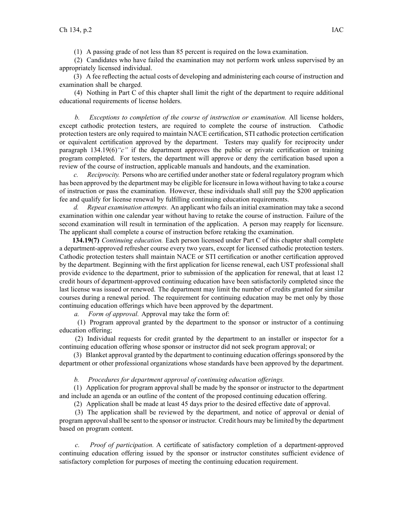(1) A passing grade of not less than 85 percen<sup>t</sup> is required on the Iowa examination.

(2) Candidates who have failed the examination may not perform work unless supervised by an appropriately licensed individual.

(3) A fee reflecting the actual costs of developing and administering each course of instruction and examination shall be charged.

(4) Nothing in Part C of this chapter shall limit the right of the department to require additional educational requirements of license holders.

*b. Exceptions to completion of the course of instruction or examination.* All license holders, excep<sup>t</sup> cathodic protection testers, are required to complete the course of instruction. Cathodic protection testers are only required to maintain NACE certification, STI cathodic protection certification or equivalent certification approved by the department. Testers may qualify for reciprocity under paragraph  $134.19(6)$  "c" if the department approves the public or private certification or training program completed. For testers, the department will approve or deny the certification based upon <sup>a</sup> review of the course of instruction, applicable manuals and handouts, and the examination.

*c. Reciprocity.* Persons who are certified under another state or federal regulatory program which has been approved by the department may be eligible for licensure in Iowa without having to take <sup>a</sup> course of instruction or pass the examination. However, these individuals shall still pay the \$200 application fee and qualify for license renewal by fulfilling continuing education requirements.

*d. Repeat examination attempts.* An applicant who fails an initial examination may take <sup>a</sup> second examination within one calendar year without having to retake the course of instruction. Failure of the second examination will result in termination of the application. A person may reapply for licensure. The applicant shall complete <sup>a</sup> course of instruction before retaking the examination.

**134.19(7)** *Continuing education.* Each person licensed under Part C of this chapter shall complete <sup>a</sup> department-approved refresher course every two years, excep<sup>t</sup> for licensed cathodic protection testers. Cathodic protection testers shall maintain NACE or STI certification or another certification approved by the department. Beginning with the first application for license renewal, each UST professional shall provide evidence to the department, prior to submission of the application for renewal, that at least 12 credit hours of department-approved continuing education have been satisfactorily completed since the last license was issued or renewed. The department may limit the number of credits granted for similar courses during <sup>a</sup> renewal period. The requirement for continuing education may be met only by those continuing education offerings which have been approved by the department.

*a. Form of approval.* Approval may take the form of:

(1) Program approval granted by the department to the sponsor or instructor of <sup>a</sup> continuing education offering;

(2) Individual requests for credit granted by the department to an installer or inspector for <sup>a</sup> continuing education offering whose sponsor or instructor did not seek program approval; or

(3) Blanket approval granted by the department to continuing education offeringssponsored by the department or other professional organizations whose standards have been approved by the department.

*b. Procedures for department approval of continuing education offerings.*

(1) Application for program approval shall be made by the sponsor or instructor to the department and include an agenda or an outline of the content of the proposed continuing education offering.

(2) Application shall be made at least 45 days prior to the desired effective date of approval.

(3) The application shall be reviewed by the department, and notice of approval or denial of program approvalshall be sent to the sponsor or instructor. Credit hours may be limited by the department based on program content.

*c. Proof of participation.* A certificate of satisfactory completion of <sup>a</sup> department-approved continuing education offering issued by the sponsor or instructor constitutes sufficient evidence of satisfactory completion for purposes of meeting the continuing education requirement.